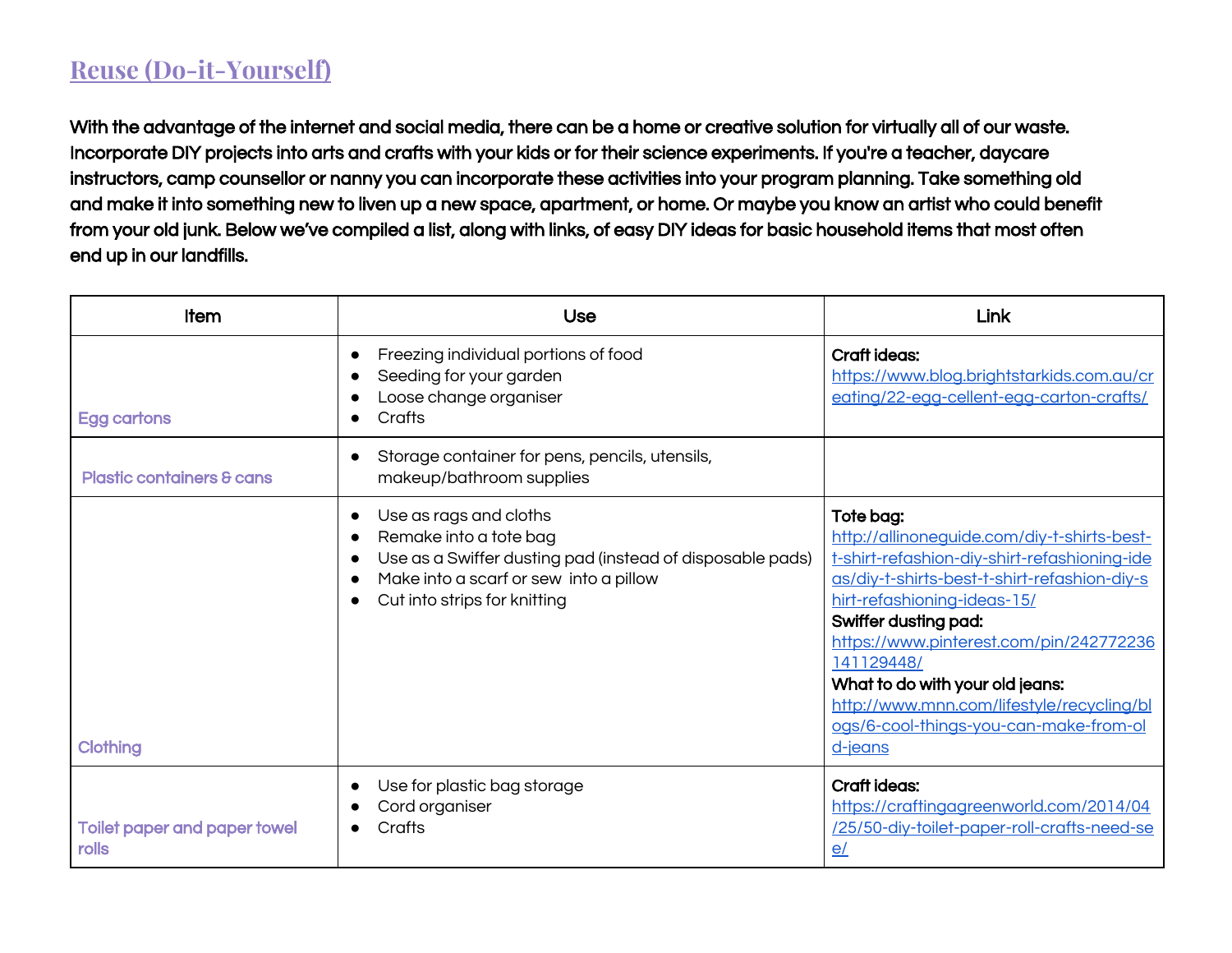## **Reuse (Do-it-Yourself)**

With the advantage of the internet and social media, there can be a home or creative solution for virtually all of our waste. Incorporate DIY projects into arts and crafts with your kids or for their science experiments. If you're a teacher, daycare instructors, camp counsellor or nanny you can incorporate these activities into your program planning. Take something old and make it into something new to liven up a new space, apartment, or home. Or maybe you know an artist who could benefit from your old junk. Below we've compiled a list, along with links, of easy DIY ideas for basic household items that most often end up in our landfills.

| <b>Item</b>                                         | Use                                                                                                                                                                                                                            | <b>Link</b>                                                                                                                                                                                                                                                                                                                                                                                                   |
|-----------------------------------------------------|--------------------------------------------------------------------------------------------------------------------------------------------------------------------------------------------------------------------------------|---------------------------------------------------------------------------------------------------------------------------------------------------------------------------------------------------------------------------------------------------------------------------------------------------------------------------------------------------------------------------------------------------------------|
| Egg cartons                                         | Freezing individual portions of food<br>Seeding for your garden<br>Loose change organiser<br>Crafts                                                                                                                            | Craft ideas:<br>https://www.blog.brightstarkids.com.au/cr<br>eating/22-egg-cellent-egg-carton-crafts/                                                                                                                                                                                                                                                                                                         |
| <b>Plastic containers &amp; cans</b>                | Storage container for pens, pencils, utensils,<br>makeup/bathroom supplies                                                                                                                                                     |                                                                                                                                                                                                                                                                                                                                                                                                               |
| <b>Clothing</b>                                     | Use as rags and cloths<br>$\bullet$<br>Remake into a tote bag<br>$\bullet$<br>Use as a Swiffer dusting pad (instead of disposable pads)<br>$\bullet$<br>Make into a scarf or sew into a pillow<br>Cut into strips for knitting | Tote bag:<br>http://allinonequide.com/diy-t-shirts-best-<br>t-shirt-refashion-diy-shirt-refashioning-ide<br>as/diy-t-shirts-best-t-shirt-refashion-diy-s<br>hirt-refashioning-ideas-15/<br>Swiffer dusting pad:<br>https://www.pinterest.com/pin/242772236<br>141129448/<br>What to do with your old jeans:<br>http://www.mnn.com/lifestyle/recycling/bl<br>ogs/6-cool-things-you-can-make-from-ol<br>d-jeans |
| <b>Toilet paper and paper towel</b><br><b>rolls</b> | Use for plastic bag storage<br>Cord organiser<br>Crafts                                                                                                                                                                        | Craft ideas:<br>https://craftingagreenworld.com/2014/04<br>/25/50-diy-toilet-paper-roll-crafts-need-se<br>e/                                                                                                                                                                                                                                                                                                  |